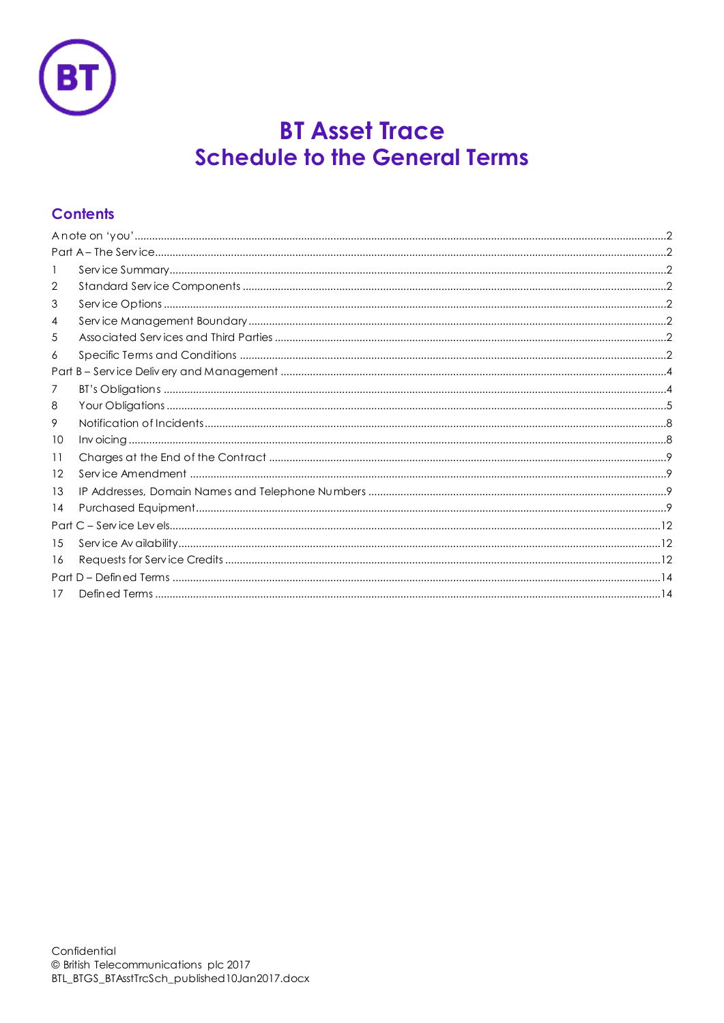

# **BT Asset Trace Schedule to the General Terms**

# **Contents**

| 1  |  |  |  |  |  |
|----|--|--|--|--|--|
| 2  |  |  |  |  |  |
| 3  |  |  |  |  |  |
| 4  |  |  |  |  |  |
| 5  |  |  |  |  |  |
| 6  |  |  |  |  |  |
|    |  |  |  |  |  |
| 7  |  |  |  |  |  |
| 8  |  |  |  |  |  |
| 9  |  |  |  |  |  |
| 10 |  |  |  |  |  |
| 11 |  |  |  |  |  |
| 12 |  |  |  |  |  |
| 13 |  |  |  |  |  |
| 14 |  |  |  |  |  |
|    |  |  |  |  |  |
| 15 |  |  |  |  |  |
| 16 |  |  |  |  |  |
|    |  |  |  |  |  |
| 17 |  |  |  |  |  |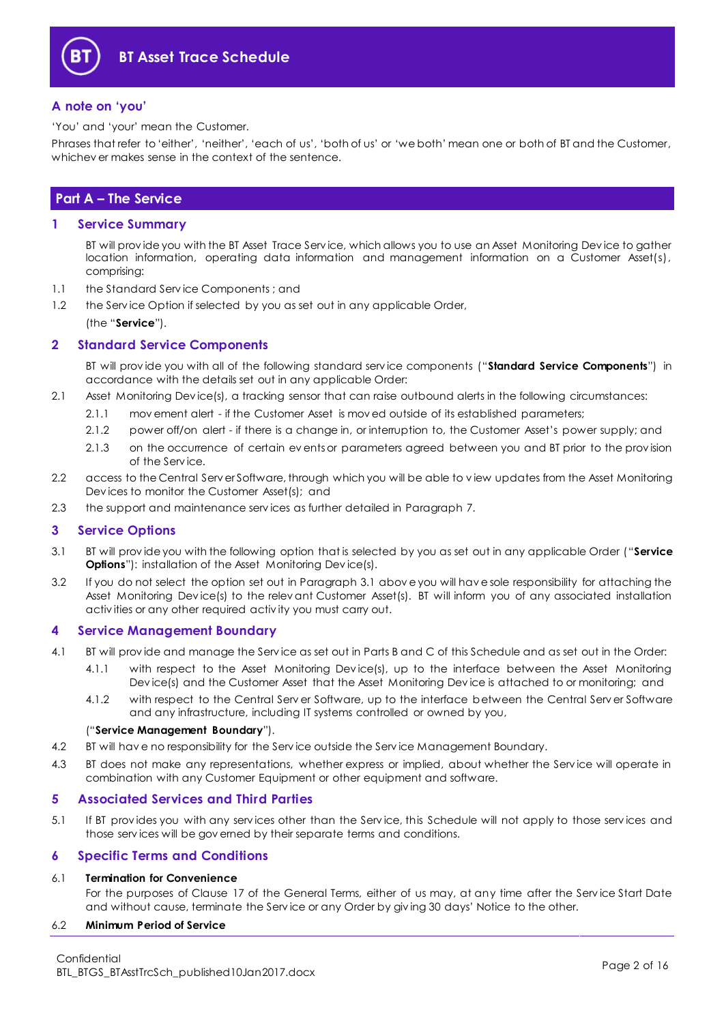

#### <span id="page-1-0"></span>**A note on 'you'**

'You' and 'your' mean the Customer.

Phrases that refer to 'either', 'neither', 'each of us', 'both of us' or 'we both' mean one or both of BT and the Customer, whichev er makes sense in the context of the sentence.

### <span id="page-1-1"></span>**Part A – The Service**

#### <span id="page-1-2"></span>**1 Service Summary**

BT will prov ide you with the BT Asset Trace Serv ice, which allows you to use an Asset Monitoring Dev ice to gather location information, operating data information and management information on a Customer Asset(s), comprising:

- 1.1 the Standard Serv ice Components ; and
- 1.2 the Serv ice Option if selected by you as set out in any applicable Order, (the "**Service**").

### <span id="page-1-3"></span>**2 Standard Service Components**

BT will prov ide you with all of the following standard serv ice components ("**Standard Service Components**") in accordance with the details set out in any applicable Order:

- 2.1 Asset Monitoring Dev ice(s), a tracking sensor that can raise outbound alerts in the following circumstances:
	- 2.1.1 mov ement alert if the Customer Asset is mov ed outside of its established parameters;
	- 2.1.2 power off/on alert if there is a change in, or interruption to, the Customer Asset's power supply; and
	- 2.1.3 on the occurrence of certain events or parameters agreed between you and BT prior to the provision of the Serv ice.
- 2.2 access to the Central Serv er Software, through which you will be able to v iew updates from the Asset Monitoring Dev ices to monitor the Customer Asset(s); and
- 2.3 the support and maintenance serv ices as further detailed in Paragraph [7.](#page-3-1)

#### <span id="page-1-4"></span>**3 Service Options**

- <span id="page-1-8"></span>3.1 BT will prov ide you with the following option that is selected by you as set out in any applicable Order ("**Service Options**"): installation of the Asset Monitoring Device(s).
- 3.2 If you do not select the option set out in Paragraph [3.1](#page-1-8) abov e you will hav e sole responsibility for attaching the Asset Monitoring Dev ice(s) to the relev ant Customer Asset(s). BT will inform you of any associated installation activ ities or any other required activ ity you must carry out.

#### <span id="page-1-5"></span>**4 Service Management Boundary**

- <span id="page-1-9"></span>4.1 BT will prov ide and manage the Serv ice as set out in Parts B and C of this Schedule and as set out in the Order:
	- 4.1.1 with respect to the Asset Monitoring Dev ice(s), up to the interface between the Asset Monitoring Dev ice(s) and the Customer Asset that the Asset Monitoring Dev ice is attached to or monitoring; and
	- 4.1.2 with respect to the Central Serv er Software, up to the interface between the Central Serv er Software and any infrastructure, including IT systems controlled or owned by you,

#### ("**Service Management Boundary**").

- 4.2 BT will hav e no responsibility for the Serv ice outside the Serv ice Management Boundary.
- 4.3 BT does not make any representations, whether express or implied, about whether the Serv ice will operate in combination with any Customer Equipment or other equipment and software.

#### <span id="page-1-6"></span>**5 Associated Services and Third Parties**

5.1 If BT prov ides you with any serv ices other than the Serv ice, this Schedule will not apply to those serv ices and those serv ices will be gov erned by their separate terms and conditions.

#### <span id="page-1-7"></span>**6 Specific Terms and Conditions**

#### 6.1 **Termination for Convenience**

For the purposes of Clause 17 of the General Terms, either of us may, at any time after the Serv ice Start Date and without cause, terminate the Serv ice or any Order by giv ing 30 days' Notice to the other.

#### 6.2 **Minimum Period of Service**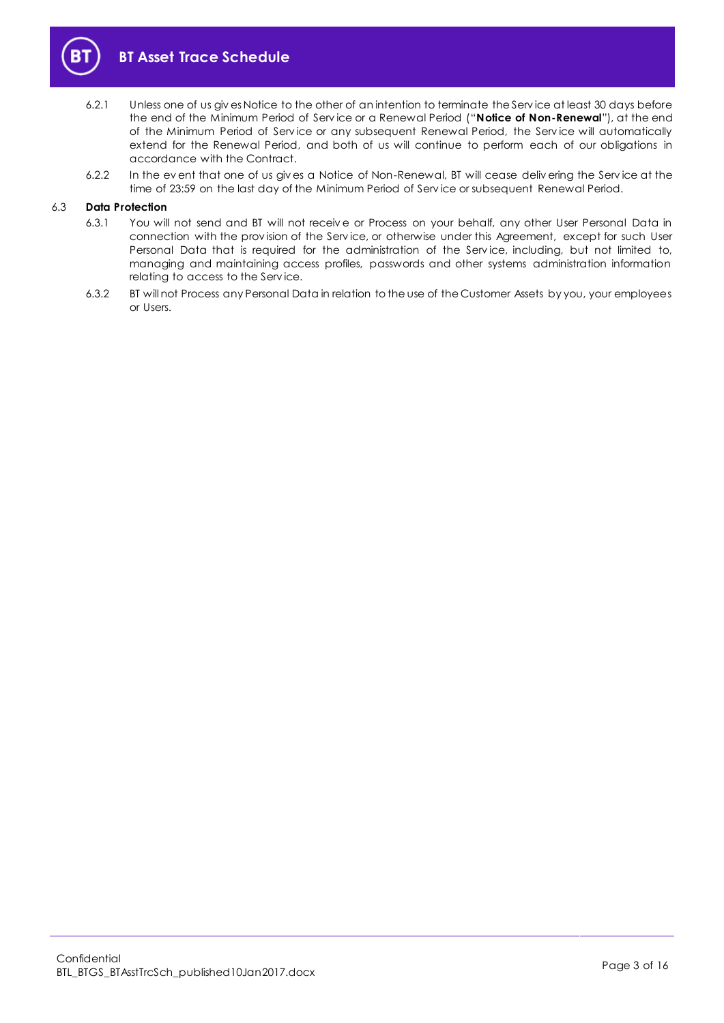

- 6.2.1 Unless one of us giv es Notice to the other of an intention to terminate the Serv ice at least 30 days before the end of the Minimum Period of Serv ice or a Renewal Period ("**Notice of Non-Renewal**"), at the end of the Minimum Period of Serv ice or any subsequent Renewal Period, the Serv ice will automatically extend for the Renewal Period, and both of us will continue to perform each of our obligations in accordance with the Contract.
- 6.2.2 In the ev ent that one of us giv es a Notice of Non-Renewal, BT will cease deliv ering the Serv ice at the time of 23:59 on the last day of the Minimum Period of Serv ice or subsequent Renewal Period.

#### <span id="page-2-0"></span>6.3 **Data Protection**

- 6.3.1 You will not send and BT will not receiv e or Process on your behalf, any other User Personal Data in connection with the prov ision of the Serv ice, or otherwise under this Agreement, except for such User Personal Data that is required for the administration of the Service, including, but not limited to, managing and maintaining access profiles, passwords and other systems administration information relating to access to the Serv ice.
- 6.3.2 BT will not Process any Personal Data in relation to the use of the Customer Assets by you, your employees or Users.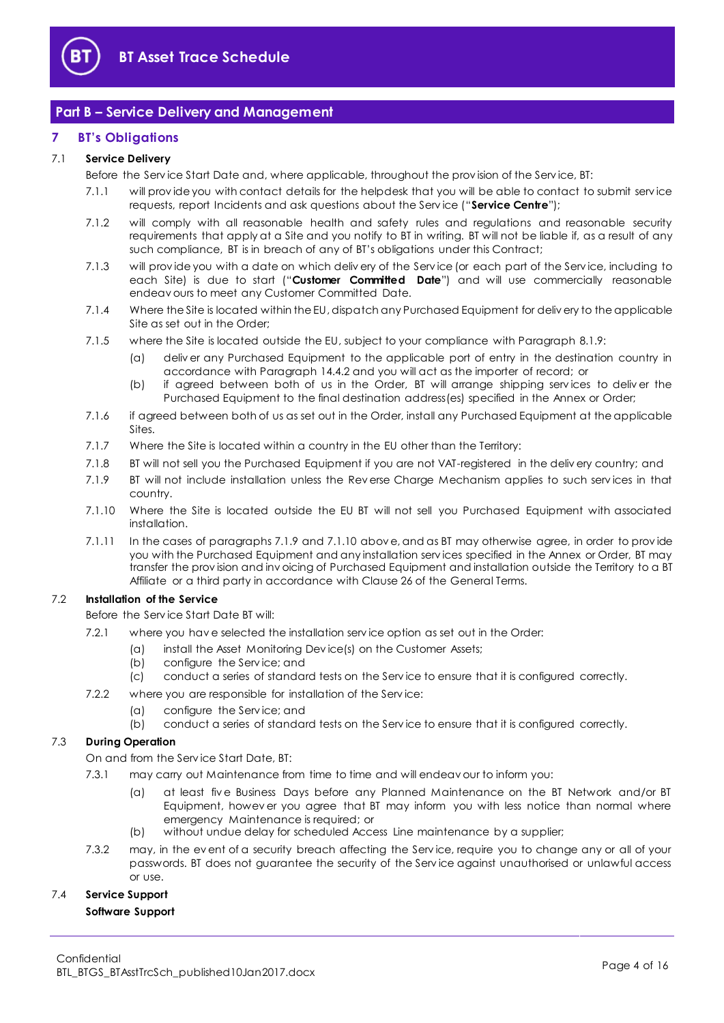

## <span id="page-3-0"></span>**Part B – Service Delivery and Management**

#### <span id="page-3-1"></span>**7 BT's Obligations**

#### <span id="page-3-7"></span>7.1 **Service Delivery**

Before the Serv ice Start Date and, where applicable, throughout the prov ision of the Serv ice, BT:

- 7.1.1 will prov ide you with contact details for the helpdesk that you will be able to contact to submit serv ice requests, report Incidents and ask questions about the Serv ice ("**Service Centre**");
- 7.1.2 will comply with all reasonable health and safety rules and regulations and reasonable security requirements that apply at a Site and you notify to BT in writing. BT will not be liable if, as a result of any such compliance, BT is in breach of any of BT's obligations under this Contract;
- <span id="page-3-6"></span>7.1.3 will prov ide you with a date on which deliv ery of the Serv ice (or each part of the Serv ice, including to each Site) is due to start ("**Customer Committed Date**") and will use commercially reasonable endeav ours to meet any Customer Committed Date.
- 7.1.4 Where the Site is located within the EU, dispatch any Purchased Equipment for deliv ery to the applicable Site as set out in the Order;
- 7.1.5 where the Site is located outside the EU, subject to your compliance with Paragrap[h 8.1.9:](#page-5-0)
	- (a) deliv er any Purchased Equipment to the applicable port of entry in the destination country in accordance with Paragrap[h 14.4.2](#page-9-0) and you will act as the importer of record; or
	- (b) if agreed between both of us in the Order, BT will arrange shipping serv ices to deliv er the Purchased Equipment to the final destination address(es) specified in the Annex or Order;
- 7.1.6 if agreed between both of us as set out in the Order, install any Purchased Equipment at the applicable Sites.
- 7.1.7 Where the Site is located within a country in the EU other than the Territory:
- 7.1.8 BT will not sell you the Purchased Equipment if you are not VAT-registered in the deliv ery country; and
- <span id="page-3-2"></span>7.1.9 BT will not include installation unless the Rev erse Charge Mechanism applies to such serv ices in that country.
- <span id="page-3-3"></span>7.1.10 Where the Site is located outside the EU BT will not sell you Purchased Equipment with associated installation.
- 7.1.11 In the cases of paragraph[s 7.1.9](#page-3-2) an[d 7.1.10](#page-3-3) abov e, and as BT may otherwise agree, in order to prov ide you with the Purchased Equipment and any installation serv ices specified in the Annex or Order, BT may transfer the prov ision and inv oicing of Purchased Equipment and installation outside the Territory to a BT Affiliate or a third party in accordance with Clause 26 of the General Terms.

#### <span id="page-3-5"></span>7.2 **Installation of the Service**

- Before the Serv ice Start Date BT will:
- 7.2.1 where you hav e selected the installation serv ice option as set out in the Order:
	- (a) install the Asset Monitoring Dev ice(s) on the Customer Assets;
	- (b) configure the Serv ice; and
	- (c) conduct a series of standard tests on the Serv ice to ensure that it is configured correctly.
- 7.2.2 where you are responsible for installation of the Serv ice:
	- (a) configure the Serv ice; and
	- (b) conduct a series of standard tests on the Serv ice to ensure that it is configured correctly.

#### 7.3 **During Operation**

On and from the Serv ice Start Date, BT:

- 7.3.1 may carry out Maintenance from time to time and will endeav our to inform you:
	- (a) at least fiv e Business Days before any Planned Maintenance on the BT Network and/or BT Equipment, howev er you agree that BT may inform you with less notice than normal where emergency Maintenance is required; or
	- (b) without undue delay for scheduled Access Line maintenance by a supplier;
- 7.3.2 may, in the ev ent of a security breach affecting the Serv ice, require you to change any or all of your passwords. BT does not guarantee the security of the Serv ice against unauthorised or unlawful access or use.

#### <span id="page-3-4"></span>7.4 **Service Support**

#### **Software Support**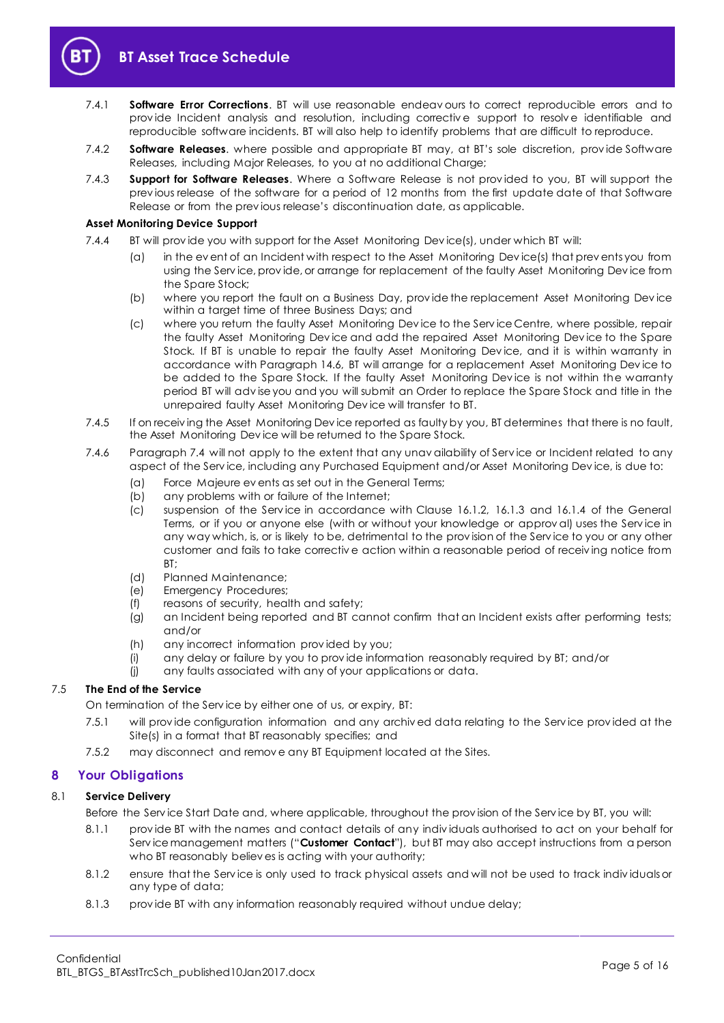

- 7.4.1 **Software Error Corrections**. BT will use reasonable endeav ours to correct reproducible errors and to prov ide Incident analysis and resolution, including correctiv e support to resolv e identifiable and reproducible software incidents. BT will also help to identify problems that are difficult to reproduce.
- 7.4.2 **Software Releases**. where possible and appropriate BT may, at BT's sole discretion, prov ide Software Releases, including Major Releases, to you at no additional Charge;
- 7.4.3 **Support for Software Releases**. Where a Software Release is not prov ided to you, BT will support the prev ious release of the software for a period of 12 months from the first update date of that Software Release or from the prev ious release's discontinuation date, as applicable.

#### **Asset Monitoring Device Support**

- <span id="page-4-2"></span>7.4.4 BT will prov ide you with support for the Asset Monitoring Dev ice(s), under which BT will:
	- (a) in the ev ent of an Incident with respect to the Asset Monitoring Dev ice(s) that prev ents you from using the Serv ice, prov ide, or arrange for replacement of the faulty Asset Monitoring Dev ice from the Spare Stock;
	- (b) where you report the fault on a Business Day, prov ide the replacement Asset Monitoring Dev ice within a target time of three Business Days; and
	- (c) where you return the faulty Asset Monitoring Dev ice to the Serv ice Centre, where possible, repair the faulty Asset Monitoring Dev ice and add the repaired Asset Monitoring Dev ice to the Spare Stock. If BT is unable to repair the faulty Asset Monitoring Dev ice, and it is within warranty in accordance with Paragraph [14.6,](#page-9-1) BT will arrange for a replacement Asset Monitoring Dev ice to be added to the Spare Stock. If the faulty Asset Monitoring Dev ice is not within the warranty period BT will adv ise you and you will submit an Order to replace the Spare Stock and title in the unrepaired faulty Asset Monitoring Dev ice will transfer to BT.
- 7.4.5 If on receiv ing the Asset Monitoring Dev ice reported as faulty by you, BT determines that there is no fault, the Asset Monitoring Dev ice will be returned to the Spare Stock.
- <span id="page-4-1"></span>7.4.6 Paragraph [7.4](#page-3-4) will not apply to the extent that any unav ailability of Serv ice or Incident related to any aspect of the Serv ice, including any Purchased Equipment and/or Asset Monitoring Dev ice, is due to:
	- (a) Force Majeure ev ents as set out in the General Terms;
	- (b) any problems with or failure of the Internet;
	- (c) suspension of the Service in accordance with Clause 16.1.2, 16.1.3 and 16.1.4 of the General Terms, or if you or anyone else (with or without your knowledge or approv al) uses the Serv ice in any way which, is, or is likely to be, detrimental to the prov ision of the Serv ice to you or any other customer and fails to take correctiv e action within a reasonable period of receiv ing notice from BT;
	- (d) Planned Maintenance;
	- (e) Emergency Procedures;
	- (f) reasons of security, health and safety;
	- (g) an Incident being reported and BT cannot confirm that an Incident exists after performing tests; and/or
	- (h) any incorrect information prov ided by you;
	- (i) any delay or failure by you to prov ide information reasonably required by BT; and/or
	- (j) any faults associated with any of your applications or data.

#### 7.5 **The End of the Service**

On termination of the Serv ice by either one of us, or expiry, BT:

- 7.5.1 will prov ide configuration information and any archiv ed data relating to the Serv ice prov ided at the Site(s) in a format that BT reasonably specifies; and
- 7.5.2 may disconnect and remov e any BT Equipment located at the Sites.

### <span id="page-4-0"></span>**8 Your Obligations**

#### <span id="page-4-3"></span>8.1 **Service Delivery**

Before the Serv ice Start Date and, where applicable, throughout the prov ision of the Serv ice by BT, you will:

- 8.1.1 prov ide BT with the names and contact details of any indiv iduals authorised to act on your behalf for Serv ice management matters ("**Customer Contact**"), but BT may also accept instructions from a person who BT reasonably believ es is acting with your authority;
- 8.1.2 ensure that the Serv ice is only used to track physical assets and will not be used to track indiv iduals or any type of data;
- 8.1.3 prov ide BT with any information reasonably required without undue delay;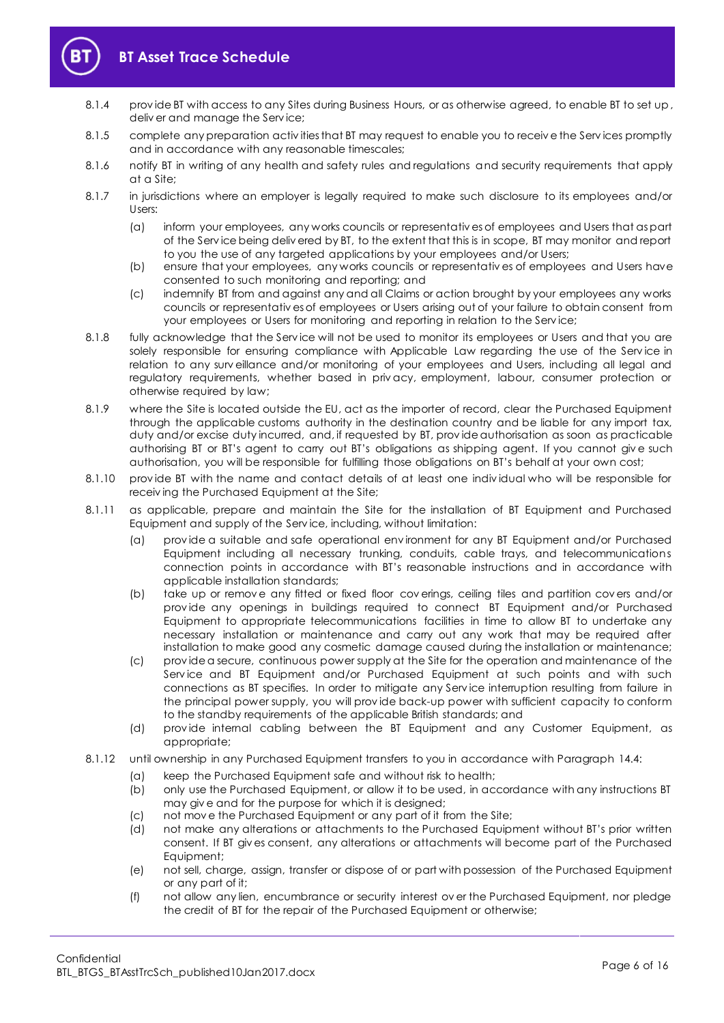

- 8.1.4 provide BT with access to any Sites during Business Hours, or as otherwise agreed, to enable BT to set up, deliv er and manage the Serv ice;
- 8.1.5 complete any preparation activities that BT may request to enable you to receive the Services promptly and in accordance with any reasonable timescales;
- 8.1.6 notify BT in writing of any health and safety rules and regulations and security requirements that apply at a Site;
- 8.1.7 in jurisdictions where an employer is legally required to make such disclosure to its employees and/or Users:
	- (a) inform your employees, any works councils or representativ es of employees and Users that as part of the Serv ice being deliv ered by BT, to the extent that this is in scope, BT may monitor and report to you the use of any targeted applications by your employees and/or Users;
	- (b) ensure that your employees, any works councils or representativ es of employees and Users have consented to such monitoring and reporting; and
	- (c) indemnify BT from and against any and all Claims or action brought by your employees any works councils or representativ es of employees or Users arising out of your failure to obtain consent from your employees or Users for monitoring and reporting in relation to the Service;
- 8.1.8 fully acknowledge that the Serv ice will not be used to monitor its employees or Users and that you are solely responsible for ensuring compliance with Applicable Law regarding the use of the Service in relation to any surv eillance and/or monitoring of your employees and Users, including all legal and regulatory requirements, whether based in priv acy, employment, labour, consumer protection or otherwise required by law;
- <span id="page-5-0"></span>8.1.9 where the Site is located outside the EU, act as the importer of record, clear the Purchased Equipment through the applicable customs authority in the destination country and be liable for any import tax, duty and/or excise duty incurred, and, if requested by BT, prov ide authorisation as soon as practicable authorising BT or BT's agent to carry out BT's obligations as shipping agent. If you cannot give such authorisation, you will be responsible for fulfilling those obligations on BT's behalf at your own cost;
- 8.1.10 prov ide BT with the name and contact details of at least one indiv idual who will be responsible for receiv ing the Purchased Equipment at the Site;
- 8.1.11 as applicable, prepare and maintain the Site for the installation of BT Equipment and Purchased Equipment and supply of the Serv ice, including, without limitation:
	- (a) prov ide a suitable and safe operational env ironment for any BT Equipment and/or Purchased Equipment including all necessary trunking, conduits, cable trays, and telecommunications connection points in accordance with BT's reasonable instructions and in accordance with applicable installation standards;
	- (b) take up or remov e any fitted or fixed floor cov erings, ceiling tiles and partition cov ers and/or prov ide any openings in buildings required to connect BT Equipment and/or Purchased Equipment to appropriate telecommunications facilities in time to allow BT to undertake any necessary installation or maintenance and carry out any work that may be required after installation to make good any cosmetic damage caused during the installation or maintenance;
	- (c) prov ide a secure, continuous power supply at the Site for the operation and maintenance of the Serv ice and BT Equipment and/or Purchased Equipment at such points and with such connections as BT specifies. In order to mitigate any Serv ice interruption resulting from failure in the principal power supply, you will prov ide back-up power with sufficient capacity to conform to the standby requirements of the applicable British standards; and
	- (d) prov ide internal cabling between the BT Equipment and any Customer Equipment, as appropriate;
- 8.1.12 until ownership in any Purchased Equipment transfers to you in accordance with Paragrap[h 14.4:](#page-9-2)
	- (a) keep the Purchased Equipment safe and without risk to health;
	- (b) only use the Purchased Equipment, or allow it to be used, in accordance with any instructions BT may giv e and for the purpose for which it is designed;
	- (c) not mov e the Purchased Equipment or any part of it from the Site;
	- (d) not make any alterations or attachments to the Purchased Equipment without BT's prior written consent. If BT giv es consent, any alterations or attachments will become part of the Purchased Equipment;
	- (e) not sell, charge, assign, transfer or dispose of or part with possession of the Purchased Equipment or any part of it;
	- (f) not allow any lien, encumbrance or security interest ov er the Purchased Equipment, nor pledge the credit of BT for the repair of the Purchased Equipment or otherwise;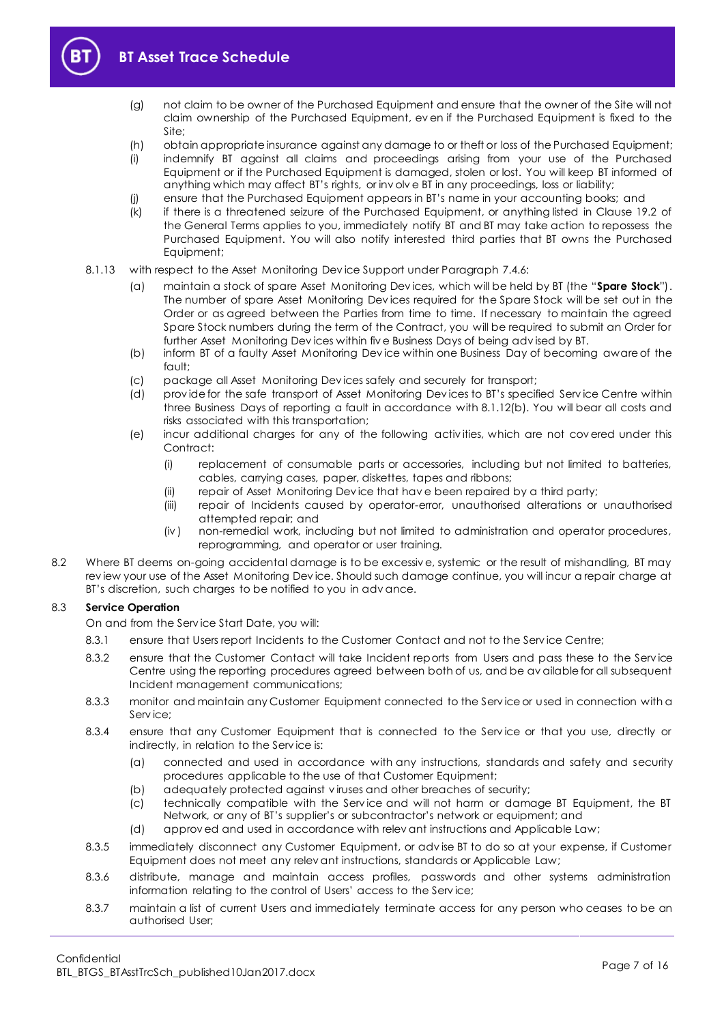

- (g) not claim to be owner of the Purchased Equipment and ensure that the owner of the Site will not claim ownership of the Purchased Equipment, ev en if the Purchased Equipment is fixed to the Site;
- (h) obtain appropriate insurance against any damage to or theft or loss of the Purchased Equipment;
- (i) indemnify BT against all claims and proceedings arising from your use of the Purchased Equipment or if the Purchased Equipment is damaged, stolen or lost. You will keep BT informed of anything which may affect BT's rights, or inv olv e BT in any proceedings, loss or liability;
- (j) ensure that the Purchased Equipment appears in BT's name in your accounting books; and
- (k) if there is a threatened seizure of the Purchased Equipment, or anything listed in Clause 19.2 of the General Terms applies to you, immediately notify BT and BT may take action to repossess the Purchased Equipment. You will also notify interested third parties that BT owns the Purchased Equipment;
- <span id="page-6-0"></span>8.1.13 with respect to the Asset Monitoring Dev ice Support under Paragrap[h 7.4.6:](#page-4-1)
	- (a) maintain a stock of spare Asset Monitoring Dev ices, which will be held by BT (the "**Spare Stock**"). The number of spare Asset Monitoring Dev ices required for the Spare Stock will be set out in the Order or as agreed between the Parties from time to time. If necessary to maintain the agreed Spare Stock numbers during the term of the Contract, you will be required to submit an Order for further Asset Monitoring Dev ices within fiv e Business Days of being adv ised by BT.
	- (b) inform BT of a faulty Asset Monitoring Dev ice within one Business Day of becoming aware of the fault;
	- (c) package all Asset Monitoring Dev ices safely and securely for transport;
	- (d) prov ide for the safe transport of Asset Monitoring Dev ices to BT's specified Serv ice Centre within three Business Days of reporting a fault in accordance with 8.1.12(b). You will bear all costs and risks associated with this transportation;
	- (e) incur additional charges for any of the following activ ities, which are not cov ered under this Contract:
		- (i) replacement of consumable parts or accessories, including but not limited to batteries, cables, carrying cases, paper, diskettes, tapes and ribbons;
		- (ii) repair of Asset Monitoring Dev ice that hav e been repaired by a third party;
		- (iii) repair of Incidents caused by operator-error, unauthorised alterations or unauthorised attempted repair; and
		- (iv ) non-remedial work, including but not limited to administration and operator procedures, reprogramming, and operator or user training.
- 8.2 Where BT deems on-going accidental damage is to be excessiv e, systemic or the result of mishandling, BT may rev iew your use of the Asset Monitoring Dev ice. Should such damage continue, you will incur a repair charge at BT's discretion, such charges to be notified to you in adv ance.

#### 8.3 **Service Operation**

On and from the Serv ice Start Date, you will:

- 8.3.1 ensure that Users report Incidents to the Customer Contact and not to the Service Centre;
- 8.3.2 ensure that the Customer Contact will take Incident reports from Users and pass these to the Service Centre using the reporting procedures agreed between both of us, and be av ailable for all subsequent Incident management communications;
- 8.3.3 monitor and maintain any Customer Equipment connected to the Serv ice or used in connection with a Serv ice;
- 8.3.4 ensure that any Customer Equipment that is connected to the Serv ice or that you use, directly or indirectly, in relation to the Serv ice is:
	- (a) connected and used in accordance with any instructions, standards and safety and security procedures applicable to the use of that Customer Equipment;
	- (b) adequately protected against v iruses and other breaches of security;
	- (c) technically compatible with the Serv ice and will not harm or damage BT Equipment, the BT Network, or any of BT's supplier's or subcontractor's network or equipment; and
	- (d) approv ed and used in accordance with relev ant instructions and Applicable Law;
- 8.3.5 immediately disconnect any Customer Equipment, or adv ise BT to do so at your expense, if Customer Equipment does not meet any relev ant instructions, standards or Applicable Law;
- 8.3.6 distribute, manage and maintain access profiles, passwords and other systems administration information relating to the control of Users' access to the Serv ice;
- 8.3.7 maintain a list of current Users and immediately terminate access for any person who ceases to be an authorised User;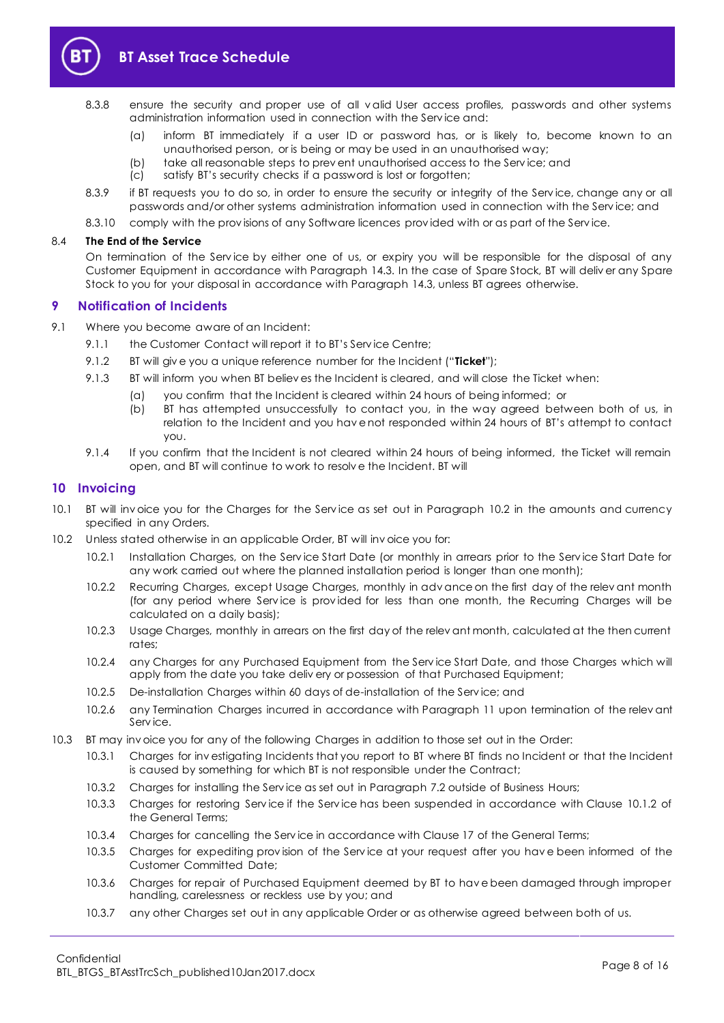

- 8.3.8 ensure the security and proper use of all v alid User access profiles, passwords and other systems administration information used in connection with the Serv ice and:
	- (a) inform BT immediately if a user ID or password has, or is likely to, become known to an unauthorised person, or is being or may be used in an unauthorised way;
	- (b) take all reasonable steps to prev ent unauthorised access to the Serv ice; and
	- (c) satisfy BT's security checks if a password is lost or forgotten;
- 8.3.9 if BT requests you to do so, in order to ensure the security or integrity of the Service, change any or all passwords and/or other systems administration information used in connection with the Serv ice; and
- 8.3.10 comply with the provisions of any Software licences provided with or as part of the Service.

#### 8.4 **The End of the Service**

On termination of the Serv ice by either one of us, or expiry you will be responsible for the disposal of any Customer Equipment in accordance with Paragraph [14.3.](#page-9-3) In the case of Spare Stock, BT will deliv er any Spare Stock to you for your disposal in accordance with Paragraph [14.3,](#page-9-3) unless BT agrees otherwise.

#### <span id="page-7-0"></span>**9 Notification of Incidents**

- <span id="page-7-4"></span><span id="page-7-3"></span>9.1 Where you become aware of an Incident:
	- 9.1.1 the Customer Contact will report it to BT's Service Centre;
	- 9.1.2 BT will giv e you a unique reference number for the Incident ("**Ticket**");
	- 9.1.3 BT will inform you when BT believ es the Incident is cleared, and will close the Ticket when:
		- (a) you confirm that the Incident is cleared within 24 hours of being informed; or
			- (b) BT has attempted unsuccessfully to contact you, in the way agreed between both of us, in relation to the Incident and you hav e not responded within 24 hours of BT's attempt to contact you.
	- 9.1.4 If you confirm that the Incident is not cleared within 24 hours of being informed, the Ticket will remain open, and BT will continue to work to resolv e the Incident. BT will

#### <span id="page-7-1"></span>**10 Invoicing**

- 10.1 BT will inv oice you for the Charges for the Serv ice as set out in Paragraph [10.2](#page-7-2) in the amounts and currency specified in any Orders.
- <span id="page-7-2"></span>10.2 Unless stated otherwise in an applicable Order, BT will inv oice you for:
	- 10.2.1 Installation Charges, on the Serv ice Start Date (or monthly in arrears prior to the Serv ice Start Date for any work carried out where the planned installation period is longer than one month);
	- 10.2.2 Recurring Charges, except Usage Charges, monthly in adv ance on the first day of the relev ant month (for any period where Service is provided for less than one month, the Recurring Charges will be calculated on a daily basis);
	- 10.2.3 Usage Charges, monthly in arrears on the first day of the relev ant month, calculated at the then current rates;
	- 10.2.4 any Charges for any Purchased Equipment from the Serv ice Start Date, and those Charges which will apply from the date you take deliv ery or possession of that Purchased Equipment;
	- 10.2.5 De-installation Charges within 60 days of de-installation of the Serv ice; and
	- 10.2.6 any Termination Charges incurred in accordance with Paragraph [11](#page-8-0) upon termination of the relev ant Serv ice.
- 10.3 BT may inv oice you for any of the following Charges in addition to those set out in the Order:
	- 10.3.1 Charges for inv estigating Incidents that you report to BT where BT finds no Incident or that the Incident is caused by something for which BT is not responsible under the Contract;
	- 10.3.2 Charges for installing the Serv ice as set out in Paragraph [7.2](#page-3-5) outside of Business Hours;
	- 10.3.3 Charges for restoring Serv ice if the Serv ice has been suspended in accordance with Clause 10.1.2 of the General Terms;
	- 10.3.4 Charges for cancelling the Serv ice in accordance with Clause 17 of the General Terms;
	- 10.3.5 Charges for expediting prov ision of the Serv ice at your request after you hav e been informed of the Customer Committed Date;
	- 10.3.6 Charges for repair of Purchased Equipment deemed by BT to hav e been damaged through improper handling, carelessness or reckless use by you; and
	- 10.3.7 any other Charges set out in any applicable Order or as otherwise agreed between both of us.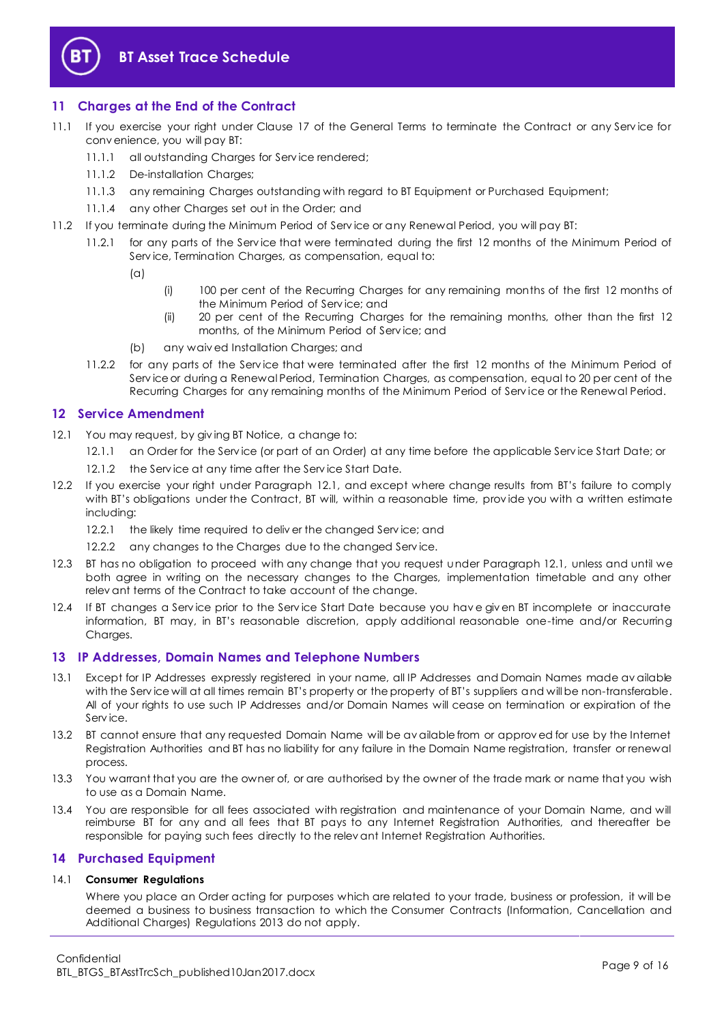

### <span id="page-8-0"></span>**11 Charges at the End of the Contract**

- 11.1 If you exercise your right under Clause 17 of the General Terms to terminate the Contract or any Serv ice for conv enience, you will pay BT:
	- 11.1.1 all outstanding Charges for Service rendered:
	- 11.1.2 De-installation Charges;
	- 11.1.3 any remaining Charges outstanding with regard to BT Equipment or Purchased Equipment;
	- 11.1.4 any other Charges set out in the Order; and
- 11.2 If you terminate during the Minimum Period of Serv ice or any Renewal Period, you will pay BT:
	- 11.2.1 for any parts of the Serv ice that were terminated during the first 12 months of the Minimum Period of Serv ice, Termination Charges, as compensation, equal to:
		- (a)
- (i) 100 per cent of the Recurring Charges for any remaining months of the first 12 months of the Minimum Period of Serv ice; and
- (ii) 20 per cent of the Recurring Charges for the remaining months, other than the first 12 months, of the Minimum Period of Serv ice; and
- (b) any waiv ed Installation Charges; and
- 11.2.2 for any parts of the Serv ice that were terminated after the first 12 months of the Minimum Period of Serv ice or during a Renewal Period, Termination Charges, as compensation, equal to 20 per cent of the Recurring Charges for any remaining months of the Minimum Period of Serv ice or the Renewal Period.

#### <span id="page-8-1"></span>**12 Service Amendment**

- <span id="page-8-4"></span>12.1 You may request, by giving BT Notice, a change to:
	- 12.1.1 an Order for the Serv ice (or part of an Order) at any time before the applicable Serv ice Start Date; or
	- 12.1.2 the Service at any time after the Service Start Date.
- 12.2 If you exercise your right under Paragraph [12.1](#page-8-4), and except where change results from BT's failure to comply with BT's obligations under the Contract, BT will, within a reasonable time, prov ide you with a written estimate including:
	- 12.2.1 the likely time required to deliv er the changed Service; and
	- 12.2.2 any changes to the Charges due to the changed Service.
- 12.3 BT has no obligation to proceed with any change that you request under Paragraph [12.1,](#page-8-4) unless and until we both agree in writing on the necessary changes to the Charges, implementation timetable and any other relev ant terms of the Contract to take account of the change.
- 12.4 If BT changes a Serv ice prior to the Serv ice Start Date because you hav e giv en BT incomplete or inaccurate information, BT may, in BT's reasonable discretion, apply additional reasonable one-time and/or Recurring Charges.

#### <span id="page-8-2"></span>**13 IP Addresses, Domain Names and Telephone Numbers**

- 13.1 Except for IP Addresses expressly registered in your name, all IP Addresses and Domain Names made av ailable with the Serv ice will at all times remain BT's property or the property of BT's suppliers and will be non-transferable. All of your rights to use such IP Addresses and/or Domain Names will cease on termination or expiration of the Serv ice.
- 13.2 BT cannot ensure that any requested Domain Name will be av ailable from or approv ed for use by the Internet Registration Authorities and BT has no liability for any failure in the Domain Name registration, transfer or renewal process.
- 13.3 You warrant that you are the owner of, or are authorised by the owner of the trade mark or name that you wish to use as a Domain Name.
- 13.4 You are responsible for all fees associated with registration and maintenance of your Domain Name, and will reimburse BT for any and all fees that BT pays to any Internet Registration Authorities, and thereafter be responsible for paying such fees directly to the relev ant Internet Registration Authorities.

#### <span id="page-8-3"></span>**14 Purchased Equipment**

#### 14.1 **Consumer Regulations**

Where you place an Order acting for purposes which are related to your trade, business or profession, it will be deemed a business to business transaction to which the Consumer Contracts (Information, Cancellation and Additional Charges) Regulations 2013 do not apply.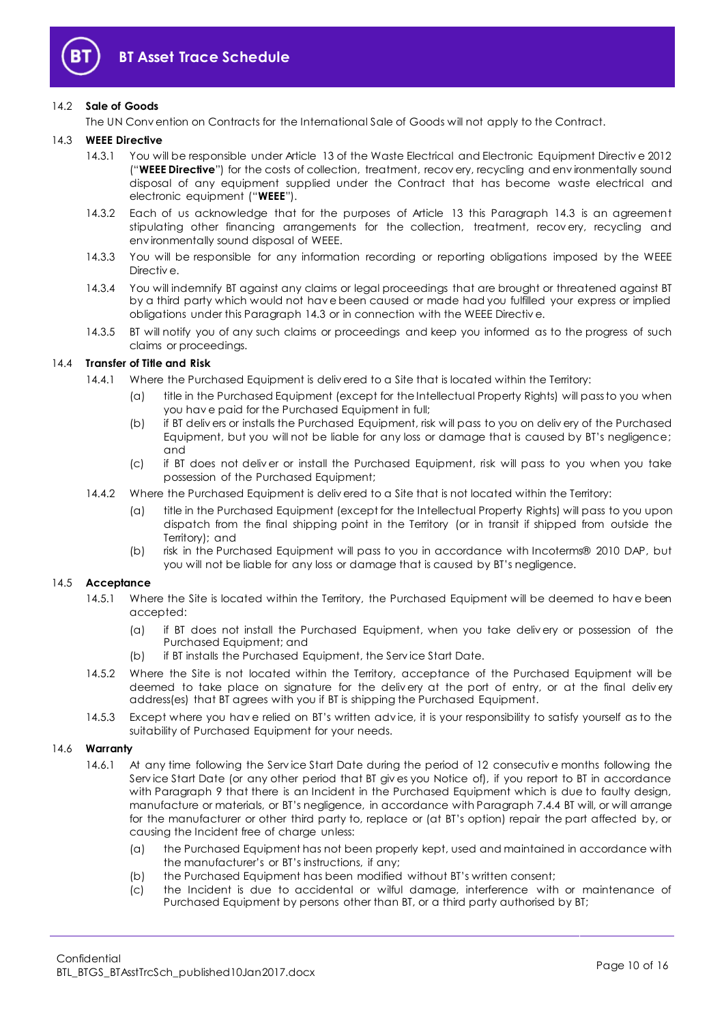

#### 14.2 **Sale of Goods**

The UN Conv ention on Contracts for the International Sale of Goods will not apply to the Contract.

#### <span id="page-9-4"></span><span id="page-9-3"></span>14.3 **WEEE Directive**

- 14.3.1 You will be responsible under Article 13 of the Waste Electrical and Electronic Equipment Directiv e 2012 ("**WEEE Directive**") for the costs of collection, treatment, recov ery, recycling and env ironmentally sound disposal of any equipment supplied under the Contract that has become waste electrical and electronic equipment ("**WEEE**").
- 14.3.2 Each of us acknowledge that for the purposes of Article 13 this Paragraph [14.3](#page-9-3) is an agreement stipulating other financing arrangements for the collection, treatment, recov ery, recycling and env ironmentally sound disposal of WEEE.
- 14.3.3 You will be responsible for any information recording or reporting obligations imposed by the WEEE Directiv e.
- 14.3.4 You will indemnify BT against any claims or legal proceedings that are brought or threatened against BT by a third party which would not hav e been caused or made had you fulfilled your express or implied obligations under this Paragraph [14.3](#page-9-3) or in connection with the WEEE Directiv e.
- 14.3.5 BT will notify you of any such claims or proceedings and keep you informed as to the progress of such claims or proceedings.

#### <span id="page-9-2"></span>14.4 **Transfer of Title and Risk**

- 14.4.1 Where the Purchased Equipment is deliv ered to a Site that is located within the Territory:
	- (a) title in the Purchased Equipment (except for the Intellectual Property Rights) will pass to you when you hav e paid for the Purchased Equipment in full;
	- (b) if BT deliv ers or installs the Purchased Equipment, risk will pass to you on deliv ery of the Purchased Equipment, but you will not be liable for any loss or damage that is caused by BT's negligence; and
	- (c) if BT does not deliv er or install the Purchased Equipment, risk will pass to you when you take possession of the Purchased Equipment;
- <span id="page-9-0"></span>14.4.2 Where the Purchased Equipment is deliv ered to a Site that is not located within the Territory:
	- (a) title in the Purchased Equipment (except for the Intellectual Property Rights) will pass to you upon dispatch from the final shipping point in the Territory (or in transit if shipped from outside the Territory); and
	- (b) risk in the Purchased Equipment will pass to you in accordance with Incoterms® 2010 DAP, but you will not be liable for any loss or damage that is caused by BT's negligence.

#### 14.5 **Acceptance**

- 14.5.1 Where the Site is located within the Territory, the Purchased Equipment will be deemed to hav e been accepted:
	- (a) if BT does not install the Purchased Equipment, when you take deliv ery or possession of the Purchased Equipment; and
	- (b) if BT installs the Purchased Equipment, the Serv ice Start Date.
- 14.5.2 Where the Site is not located within the Territory, acceptance of the Purchased Equipment will be deemed to take place on signature for the deliv ery at the port of entry, or at the final deliv ery address(es) that BT agrees with you if BT is shipping the Purchased Equipment.
- 14.5.3 Except where you hav e relied on BT's written adv ice, it is your responsibility to satisfy yourself as to the suitability of Purchased Equipment for your needs.

#### <span id="page-9-1"></span>14.6 **Warranty**

- 14.6.1 At any time following the Serv ice Start Date during the period of 12 consecutiv e months following the Serv ice Start Date (or any other period that BT giv es you Notice of), if you report to BT in accordance with Paragraph [9](#page-7-0) that there is an Incident in the Purchased Equipment which is due to faulty design, manufacture or materials, or BT's negligence, in accordance with Paragraph [7.4.4](#page-4-2) BT will, or will arrange for the manufacturer or other third party to, replace or (at BT's option) repair the part affected by, or causing the Incident free of charge unless:
	- (a) the Purchased Equipment has not been properly kept, used and maintained in accordance with the manufacturer's or BT's instructions, if any;
	- (b) the Purchased Equipment has been modified without BT's written consent;
	- (c) the Incident is due to accidental or wilful damage, interference with or maintenance of Purchased Equipment by persons other than BT, or a third party authorised by BT;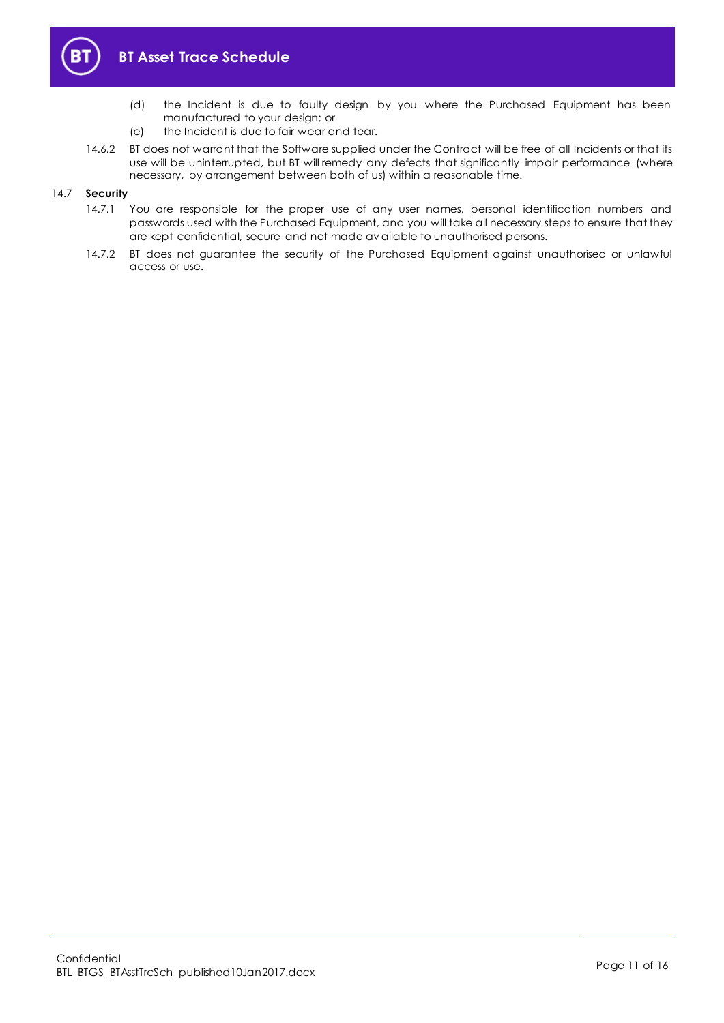

- (d) the Incident is due to faulty design by you where the Purchased Equipment has been manufactured to your design; or
- (e) the Incident is due to fair wear and tear.
- 14.6.2 BT does not warrant that the Software supplied under the Contract will be free of all Incidents or that its use will be uninterrupted, but BT will remedy any defects that significantly impair performance (where necessary, by arrangement between both of us) within a reasonable time.

#### 14.7 **Security**

- 14.7.1 You are responsible for the proper use of any user names, personal identification numbers and passwords used with the Purchased Equipment, and you will take all necessary steps to ensure that they are kept confidential, secure and not made av ailable to unauthorised persons.
- 14.7.2 BT does not guarantee the security of the Purchased Equipment against unauthorised or unlawful access or use.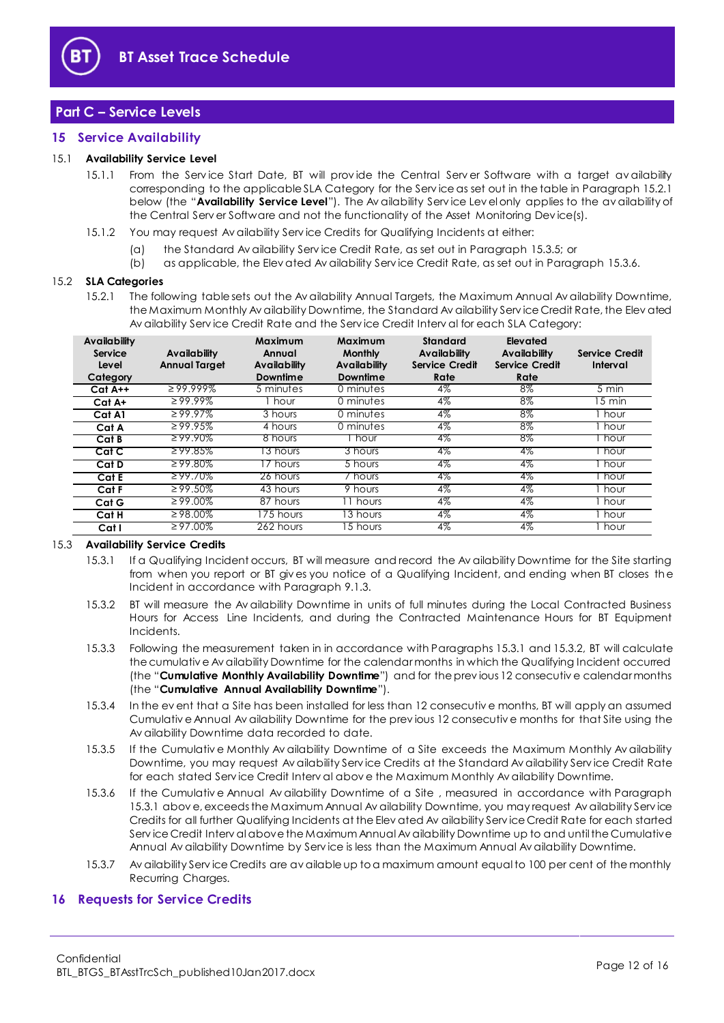

## <span id="page-11-0"></span>**Part C – Service Levels**

#### <span id="page-11-1"></span>**15 Service Availability**

#### <span id="page-11-8"></span>15.1 **Availability Service Level**

- 15.1.1 From the Service Start Date, BT will provide the Central Server Software with a target availability corresponding to the applicable SLA Category for the Serv ice as set out in the table in Paragraph [15.2.1](#page-11-3) below (the "**Availability Service Level**"). The Av ailability Serv ice Lev el only applies to the av ailability of the Central Serv er Software and not the functionality of the Asset Monitoring Dev ice(s).
- 15.1.2 You may request Av ailability Serv ice Credits for Qualifying Incidents at either:
	- (a) the Standard Av ailability Serv ice Credit Rate, as set out in Paragraph [15.3.5;](#page-11-4) or
	- (b) as applicable, the Elev ated Av ailability Serv ice Credit Rate, as set out in Paragraph [15.3.6.](#page-11-5)

#### <span id="page-11-3"></span>15.2 **SLA Categories**

15.2.1 The following table sets out the Av ailability Annual Targets, the Maximum Annual Av ailability Downtime, the Maximum Monthly Av ailability Downtime, the Standard Av ailability Serv ice Credit Rate, the Elev ated Av ailability Serv ice Credit Rate and the Serv ice Credit Interv al for each SLA Category:

| <b>Availability</b><br>Service<br>Level<br>Category | Availability<br><b>Annual Target</b> | Maximum<br>Annual<br><b>Availability</b><br>Downtime | Maximum<br><b>Monthly</b><br><b>Availability</b><br>Downtime | <b>Standard</b><br>Availability<br><b>Service Credit</b><br>Rate | Elevated<br>Availability<br>Service Credit<br>Rate | Service Credit<br>Interval |
|-----------------------------------------------------|--------------------------------------|------------------------------------------------------|--------------------------------------------------------------|------------------------------------------------------------------|----------------------------------------------------|----------------------------|
| Cat A++                                             | $299.999\%$                          | 5 minutes                                            | 0 minutes                                                    | $4\%$                                                            | $8\%$                                              | 5 min                      |
| Cat A+                                              | $299.99\%$                           | hour                                                 | 0 minutes                                                    | $4\%$                                                            | $8\%$                                              | $15 \text{ min}$           |
| Cat A1                                              | $\geq 99.97\%$                       | 3 hours                                              | 0 minutes                                                    | $4\%$                                                            | 8%                                                 | hour                       |
| Cat A                                               | $\geq 99.95\%$                       | 4 hours                                              | 0 minutes                                                    | 4%                                                               | $8\%$                                              | I hour                     |
| Cat B                                               | $299.90\%$                           | 8 hours                                              | hour                                                         | 4%                                                               | 8%                                                 | hour                       |
| Cat C                                               | $\geq$ 99.85%                        | 3 hours                                              | 3 hours                                                      | 4%                                                               | 4%                                                 | hour                       |
| Cat D                                               | $299.80\%$                           | / hours                                              | 5 hours                                                      | 4%                                                               | 4%                                                 | hour                       |
| Cat E                                               | $299.70\%$                           | 26 hours                                             | / hours                                                      | 4%                                                               | 4%                                                 | hour                       |
| Cat F                                               | $\geq 99.50\%$                       | 43 hours                                             | 9 hours                                                      | $4\%$                                                            | $4\%$                                              | i hour                     |
| Cat G                                               | $\geq 99.00\%$                       | 87 hours                                             | 11 hours                                                     | $4\%$                                                            | $4\%$                                              | hour                       |
| Cat H                                               | $\geq 98.00\%$                       | 175 hours                                            | 13 hours                                                     | 4%                                                               | $4\%$                                              | hour                       |
| Cat I                                               | $\geq 97.00\%$                       | 262 hours                                            | 15 hours                                                     | 4%                                                               | $4\%$                                              | , hour                     |

#### <span id="page-11-6"></span>15.3 **Availability Service Credits**

- 15.3.1 If a Qualifying Incident occurs, BT will measure and record the Av ailability Downtime for the Site starting from when you report or BT giv es you notice of a Qualifying Incident, and ending when BT closes the Incident in accordance with Paragrap[h 9.1.3.](#page-7-3)
- <span id="page-11-7"></span>15.3.2 BT will measure the Av ailability Downtime in units of full minutes during the Local Contracted Business Hours for Access Line Incidents, and during the Contracted Maintenance Hours for BT Equipment Incidents.
- <span id="page-11-9"></span>15.3.3 Following the measurement taken in in accordance with Paragraph[s 15.3.1](#page-11-6) an[d 15.3.2,](#page-11-7) BT will calculate the cumulativ e Av ailability Downtime for the calendar months in which the Qualifying Incident occurred (the "**Cumulative Monthly Availability Downtime**") and for the prev ious 12 consecutiv e calendar months (the "**Cumulative Annual Availability Downtime**").
- 15.3.4 In the ev ent that a Site has been installed for less than 12 consecutiv e months, BT will apply an assumed Cumulativ e Annual Av ailability Downtime for the prev ious 12 consecutiv e months for that Site using the Av ailability Downtime data recorded to date.
- <span id="page-11-4"></span>15.3.5 If the Cumulativ e Monthly Av ailability Downtime of a Site exceeds the Maximum Monthly Av ailability Downtime, you may request Av ailability Serv ice Credits at the Standard Av ailability Serv ice Credit Rate for each stated Serv ice Credit Interv al abov e the Maximum Monthly Av ailability Downtime.
- <span id="page-11-5"></span>15.3.6 If the Cumulativ e Annual Av ailability Downtime of a Site , measured in accordance with Paragraph [15.3.1](#page-11-6) abov e, exceeds the Maximum Annual Av ailability Downtime, you may request Av ailability Serv ice Credits for all further Qualifying Incidents at the Elev ated Av ailability Serv ice Credit Rate for each started Serv ice Credit Interv al above the Maximum Annual Av ailability Downtime up to and until the Cumulative Annual Av ailability Downtime by Serv ice is less than the Maximum Annual Av ailability Downtime.
- 15.3.7 Av ailability Serv ice Credits are av ailable up to a maximum amount equal to 100 per cent of the monthly Recurring Charges.

#### <span id="page-11-2"></span>**16 Requests for Service Credits**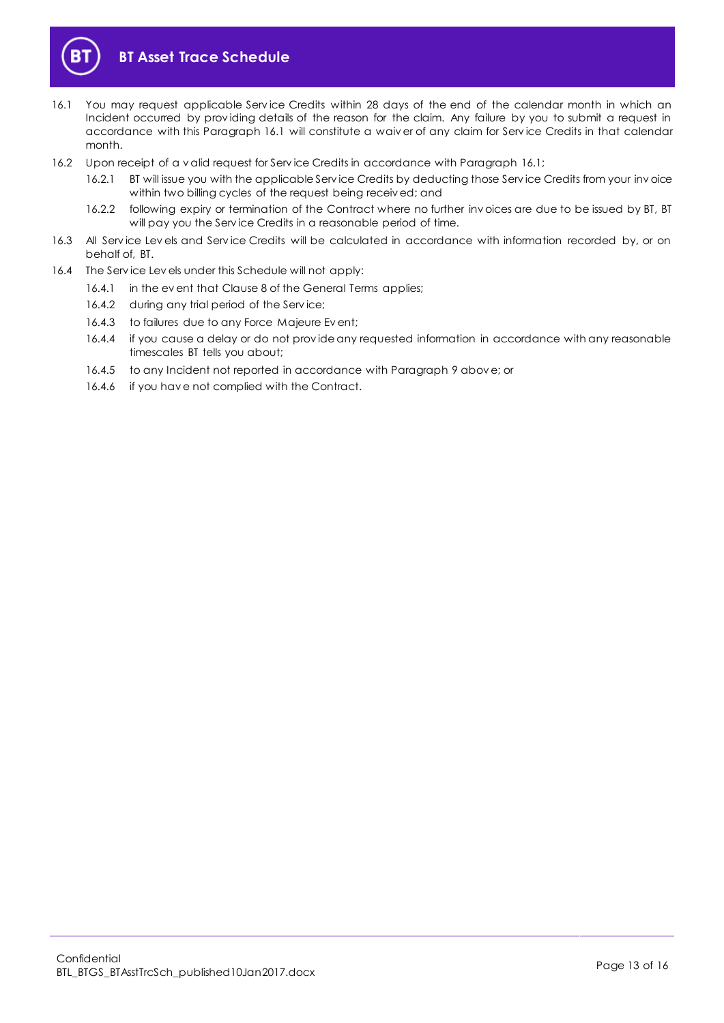

- <span id="page-12-0"></span>16.1 You may request applicable Serv ice Credits within 28 days of the end of the calendar month in which an Incident occurred by prov iding details of the reason for the claim. Any failure by you to submit a request in accordance with this Paragraph [16.1](#page-12-0) will constitute a waiv er of any claim for Serv ice Credits in that calendar month.
- <span id="page-12-1"></span>16.2 Upon receipt of a v alid request for Serv ice Credits in accordance with Paragrap[h 16.1;](#page-12-0)
	- 16.2.1 BT will issue you with the applicable Serv ice Credits by deducting those Serv ice Credits from your inv oice within two billing cycles of the request being receiv ed; and
	- 16.2.2 following expiry or termination of the Contract where no further inv oices are due to be issued by BT, BT will pay you the Serv ice Credits in a reasonable period of time.
- 16.3 All Serv ice Lev els and Serv ice Credits will be calculated in accordance with information recorded by, or on behalf of, BT.
- 16.4 The Serv ice Lev els under this Schedule will not apply:
	- 16.4.1 in the ev ent that Clause 8 of the General Terms applies;
	- 16.4.2 during any trial period of the Serv ice;
	- 16.4.3 to failures due to any Force Majeure Ev ent;
	- 16.4.4 if you cause a delay or do not prov ide any requested information in accordance with any reasonable timescales BT tells you about;
	- 16.4.5 to any Incident not reported in accordance with Paragrap[h 9](#page-7-0) abov e; or
	- 16.4.6 if you hav e not complied with the Contract.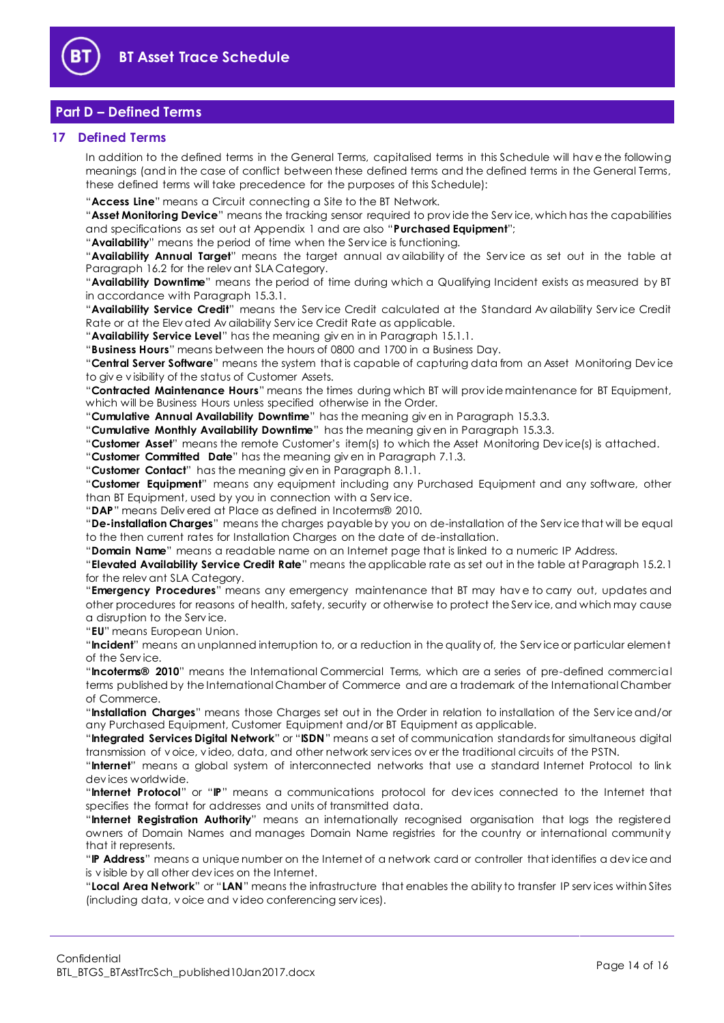

## <span id="page-13-0"></span>**Part D – Defined Terms**

#### <span id="page-13-1"></span>**17 Defined Terms**

In addition to the defined terms in the General Terms, capitalised terms in this Schedule will hav e the following meanings (and in the case of conflict between these defined terms and the defined terms in the General Terms, these defined terms will take precedence for the purposes of this Schedule):

"**Access Line**" means a Circuit connecting a Site to the BT Network.

"**Asset Monitoring Device**" means the tracking sensor required to prov ide the Serv ice, which has the capabilities and specifications as set out at Appendix 1 and are also "**Purchased Equipment**";

"**Availability**" means the period of time when the Serv ice is functioning.

"**Availability Annual Target**" means the target annual av ailability of the Serv ice as set out in the table at Paragraph [16.2](#page-12-1) for the relev ant SLA Category.

"**Availability Downtime**" means the period of time during which a Qualifying Incident exists as measured by BT in accordance with Paragrap[h 15.3.1.](#page-11-6) 

"**Availability Service Credit**" means the Serv ice Credit calculated at the Standard Av ailability Serv ice Credit Rate or at the Elev ated Av ailability Serv ice Credit Rate as applicable.

"**Availability Service Level**" has the meaning giv en in in Paragraph [15.1.1.](#page-11-8)

"**Business Hours**" means between the hours of 0800 and 1700 in a Business Day.

"**Central Server Software**" means the system that is capable of capturing data from an Asset Monitoring Dev ice to giv e v isibility of the status of Customer Assets.

"**Contracted Maintenance Hours**" means the times during which BT will prov ide maintenance for BT Equipment, which will be Business Hours unless specified otherwise in the Order.

"**Cumulative Annual Availability Downtime**" has the meaning giv en in Paragraph [15.3.3.](#page-11-9)

"**Cumulative Monthly Availability Downtime**" has the meaning giv en in Paragrap[h 15.3.3.](#page-11-9)

"**Customer Asset**" means the remote Customer's item(s) to which the Asset Monitoring Dev ice(s) is attached.

"**Customer Committed Date**" has the meaning giv en in Paragraph [7.1.3.](#page-3-6)

"**Customer Contact**" has the meaning giv en in Paragraph [8.1.1.](#page-4-3)

"**Customer Equipment**" means any equipment including any Purchased Equipment and any software, other than BT Equipment, used by you in connection with a Serv ice.

"**DAP**" means Deliv ered at Place as defined in Incoterms® 2010.

"**De-installation Charges**" means the charges payable by you on de-installation of the Serv ice that will be equal to the then current rates for Installation Charges on the date of de-installation.

"**Domain Name**" means a readable name on an Internet page that is linked to a numeric IP Address.

"**Elevated Availability Service Credit Rate**" means the applicable rate as set out in the table at Paragraph [15.2.1](#page-11-3) for the relev ant SLA Category.

"**Emergency Procedures**" means any emergency maintenance that BT may hav e to carry out, updates and other procedures for reasons of health, safety, security or otherwise to protect the Serv ice, and which may cause a disruption to the Serv ice.

"**EU**" means European Union.

"**Incident**" means an unplanned interruption to, or a reduction in the quality of, the Serv ice or particular element of the Serv ice.

"**Incoterms® 2010**" means the International Commercial Terms, which are a series of pre-defined commercial terms published by the International Chamber of Commerce and are a trademark of the International Chamber of Commerce.

"**Installation Charges**" means those Charges set out in the Order in relation to installation of the Serv ice and/or any Purchased Equipment, Customer Equipment and/or BT Equipment as applicable.

"**Integrated Services Digital Network**" or "**ISDN**" means a set of communication standards for simultaneous digital transmission of v oice, v ideo, data, and other network serv ices ov er the traditional circuits of the PSTN.

"**Internet**" means a global system of interconnected networks that use a standard Internet Protocol to link dev ices worldwide.

"**Internet Protocol**" or "**IP**" means a communications protocol for dev ices connected to the Internet that specifies the format for addresses and units of transmitted data.

"**Internet Registration Authority**" means an internationally recognised organisation that logs the registered owners of Domain Names and manages Domain Name registries for the country or international community that it represents.

"**IP Address**" means a unique number on the Internet of a network card or controller that identifies a dev ice and is v isible by all other dev ices on the Internet.

"**Local Area Network**" or "**LAN**" means the infrastructure that enables the ability to transfer IP serv ices within Sites (including data, v oice and v ideo conferencing serv ices).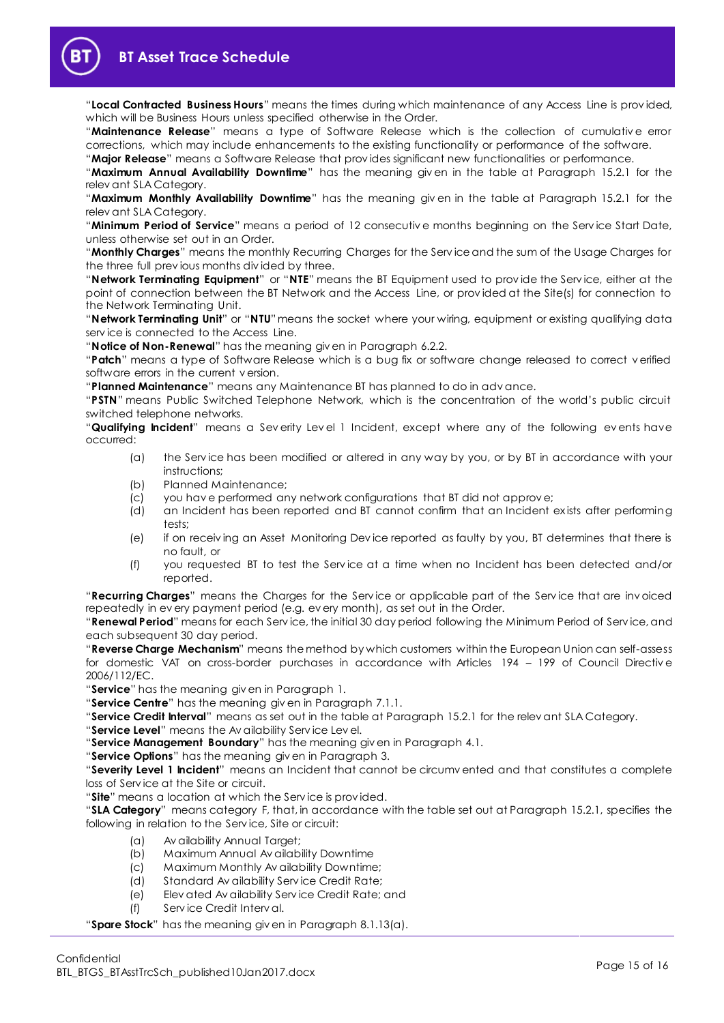

"**Local Contracted Business Hours**" means the times during which maintenance of any Access Line is prov ided, which will be Business Hours unless specified otherwise in the Order.

"**Maintenance Release**" means a type of Software Release which is the collection of cumulativ e error corrections, which may include enhancements to the existing functionality or performance of the software.

"**Major Release**" means a Software Release that prov ides significant new functionalities or performance.

"**Maximum Annual Availability Downtime**" has the meaning giv en in the table at Paragraph [15.2.1](#page-11-3) for the relev ant SLA Category.

"**Maximum Monthly Availability Downtime**" has the meaning giv en in the table at Paragraph [15.2.1](#page-11-3) for the relev ant SLA Category.

"**Minimum Period of Service**" means a period of 12 consecutiv e months beginning on the Serv ice Start Date, unless otherwise set out in an Order.

"**Monthly Charges**" means the monthly Recurring Charges for the Serv ice and the sum of the Usage Charges for the three full prev ious months div ided by three.

"**Network Terminating Equipment**" or "**NTE**" means the BT Equipment used to prov ide the Serv ice, either at the point of connection between the BT Network and the Access Line, or prov ided at the Site(s) for connection to the Network Terminating Unit.

"Network Terminating Unit" or "NTU" means the socket where your wiring, equipment or existing qualifying data serv ice is connected to the Access Line.

"**Notice of Non-Renewal**" has the meaning giv en in Paragrap[h 6.2.2.](#page-2-0)

"**Patch**" means a type of Software Release which is a bug fix or software change released to correct v erified software errors in the current v ersion.

"**Planned Maintenance**" means any Maintenance BT has planned to do in adv ance.

"**PSTN**" means Public Switched Telephone Network, which is the concentration of the world's public circuit switched telephone networks.

"**Qualifying Incident**" means a Sev erity Lev el 1 Incident, except where any of the following ev ents have occurred:

- (a) the Serv ice has been modified or altered in any way by you, or by BT in accordance with your instructions;
- (b) Planned Maintenance;
- (c) you hav e performed any network configurations that BT did not approv e;
- (d) an Incident has been reported and BT cannot confirm that an Incident ex ists after performing tests;
- (e) if on receiv ing an Asset Monitoring Dev ice reported as faulty by you, BT determines that there is no fault, or
- (f) you requested BT to test the Serv ice at a time when no Incident has been detected and/or reported.

"**Recurring Charges**" means the Charges for the Serv ice or applicable part of the Serv ice that are inv oiced repeatedly in ev ery payment period (e.g. ev ery month), as set out in the Order.

"**Renewal Period**" means for each Serv ice, the initial 30 day period following the Minimum Period of Serv ice, and each subsequent 30 day period.

"**Reverse Charge Mechanism**" means the method by which customers within the European Union can self-assess for domestic VAT on cross-border purchases in accordance with Articles 194 – 199 of Council Directiv e 2006/112/EC.

"**Service**" has the meaning giv en in Paragrap[h 1.](#page-1-2)

"**Service Centre**" has the meaning giv en in Paragrap[h 7.1.1.](#page-3-7)

"**Service Credit Interval**" means as set out in the table at Paragraph [15.2.1](#page-11-3) for the relev ant SLA Category.

"**Service Level**" means the Av ailability Serv ice Lev el.

"**Service Management Boundary**" has the meaning giv en in Paragraph [4.1.](#page-1-9)

"**Service Options**" has the meaning giv en in Paragrap[h 3.](#page-1-4)

"**Severity Level 1 Incident**" means an Incident that cannot be circumv ented and that constitutes a complete loss of Serv ice at the Site or circuit.

"**Site**" means a location at which the Serv ice is prov ided.

"**SLA Category**" means category F, that, in accordance with the table set out at Paragraph [15.2.1,](#page-11-3) specifies the following in relation to the Serv ice, Site or circuit:

- (a) Av ailability Annual Target;
- (b) Maximum Annual Av ailability Downtime
- (c) Maximum Monthly Av ailability Downtime;
- (d) Standard Av ailability Serv ice Credit Rate;
- (e) Elev ated Av ailability Serv ice Credit Rate; and
- (f) Serv ice Credit Interv al.

"**Spare Stock**" has the meaning giv en in Paragraph [8.1.13\(a\).](#page-6-0)